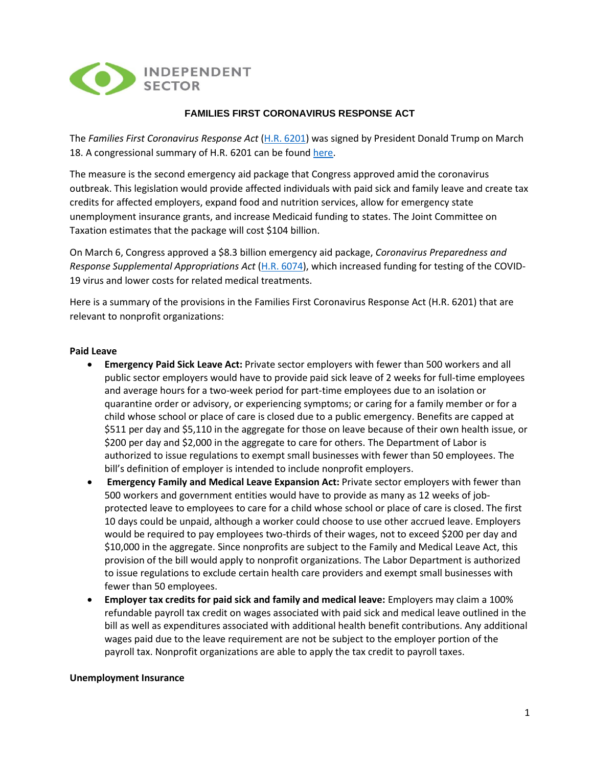

# **FAMILIES FIRST CORONAVIRUS RESPONSE ACT**

The *Families First Coronavirus Response Act* [\(H.R. 6201\)](https://www.congress.gov/116/bills/hr6201/BILLS-116hr6201eh.pdf) was signed by President Donald Trump on March 18. A congressional summary of H.R. 6201 can be found [here.](https://appropriations.house.gov/sites/democrats.appropriations.house.gov/files/Families%20First%20summary.pdf)

The measure is the second emergency aid package that Congress approved amid the coronavirus outbreak. This legislation would provide affected individuals with paid sick and family leave and create tax credits for affected employers, expand food and nutrition services, allow for emergency state unemployment insurance grants, and increase Medicaid funding to states. The Joint Committee on Taxation estimates that the package will cost \$104 billion.

On March 6, Congress approved a \$8.3 billion emergency aid package, *Coronavirus Preparedness and Response Supplemental Appropriations Act* [\(H.R. 6074\)](https://www.congress.gov/116/bills/hr6074/BILLS-116hr6074enr.pdf), which increased funding for testing of the COVID-19 virus and lower costs for related medical treatments.

Here is a summary of the provisions in the Families First Coronavirus Response Act (H.R. 6201) that are relevant to nonprofit organizations:

### **Paid Leave**

- **Emergency Paid Sick Leave Act:** Private sector employers with fewer than 500 workers and all public sector employers would have to provide paid sick leave of 2 weeks for full-time employees and average hours for a two-week period for part-time employees due to an isolation or quarantine order or advisory, or experiencing symptoms; or caring for a family member or for a child whose school or place of care is closed due to a public emergency. Benefits are capped at \$511 per day and \$5,110 in the aggregate for those on leave because of their own health issue, or \$200 per day and \$2,000 in the aggregate to care for others. The Department of Labor is authorized to issue regulations to exempt small businesses with fewer than 50 employees. The bill's definition of employer is intended to include nonprofit employers.
- **Emergency Family and Medical Leave Expansion Act:** Private sector employers with fewer than 500 workers and government entities would have to provide as many as 12 weeks of jobprotected leave to employees to care for a child whose school or place of care is closed. The first 10 days could be unpaid, although a worker could choose to use other accrued leave. Employers would be required to pay employees two-thirds of their wages, not to exceed \$200 per day and \$10,000 in the aggregate. Since nonprofits are subject to the Family and Medical Leave Act, this provision of the bill would apply to nonprofit organizations. The Labor Department is authorized to issue regulations to exclude certain health care providers and exempt small businesses with fewer than 50 employees.
- **Employer tax credits for paid sick and family and medical leave:** Employers may claim a 100% refundable payroll tax credit on wages associated with paid sick and medical leave outlined in the bill as well as expenditures associated with additional health benefit contributions. Any additional wages paid due to the leave requirement are not be subject to the employer portion of the payroll tax. Nonprofit organizations are able to apply the tax credit to payroll taxes.

### **Unemployment Insurance**